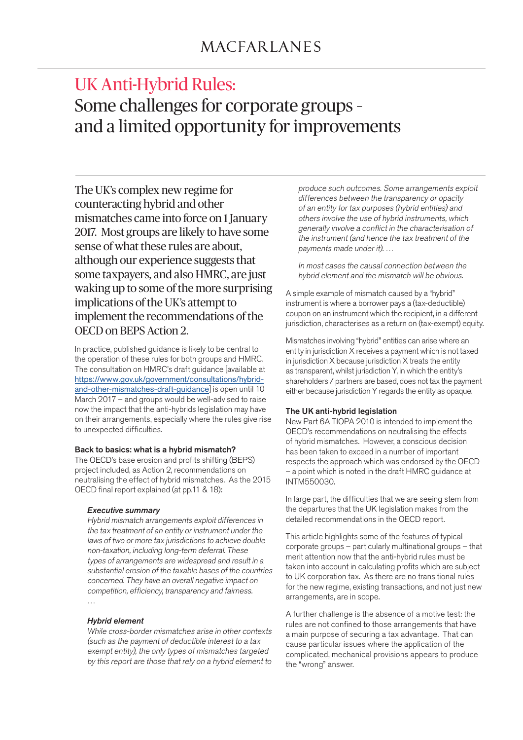# UK Anti-Hybrid Rules: Some challenges for corporate groups – and a limited opportunity for improvements

The UK's complex new regime for counteracting hybrid and other mismatches came into force on 1 January 2017. Most groups are likely to have some sense of what these rules are about, although our experience suggests that some taxpayers, and also HMRC, are just waking up to some of the more surprising implications of the UK's attempt to implement the recommendations of the OECD on BEPS Action 2.

In practice, published guidance is likely to be central to the operation of these rules for both groups and HMRC. The consultation on HMRC's draft guidance [available at https://www.gov.uk/government/consultations/hybridand-other-mismatches-draft-guidance] is open until 10 March 2017 – and groups would be well-advised to raise now the impact that the anti-hybrids legislation may have on their arrangements, especially where the rules give rise to unexpected difficulties.

# Back to basics: what is a hybrid mismatch?

The OECD's base erosion and profits shifting (BEPS) project included, as Action 2, recommendations on neutralising the effect of hybrid mismatches. As the 2015 OECD final report explained (at pp.11 & 18):

# *Executive summary*

 Hybrid mismatch arrangements exploit differences in the tax treatment of an entity or instrument under the laws of two or more tax jurisdictions to achieve double non-taxation, including long-term deferral. These types of arrangements are widespread and result in a substantial erosion of the taxable bases of the countries concerned. They have an overall negative impact on competition, efficiency, transparency and fairness. …

## *Hybrid element*

While cross-border mismatches arise in other contexts (such as the payment of deductible interest to a tax exempt entity), the only types of mismatches targeted by this report are those that rely on a hybrid element to produce such outcomes. Some arrangements exploit differences between the transparency or opacity of an entity for tax purposes (hybrid entities) and others involve the use of hybrid instruments, which generally involve a conflict in the characterisation of the instrument (and hence the tax treatment of the payments made under it). …

 In most cases the causal connection between the hybrid element and the mismatch will be obvious.

A simple example of mismatch caused by a "hybrid" instrument is where a borrower pays a (tax-deductible) coupon on an instrument which the recipient, in a different jurisdiction, characterises as a return on (tax-exempt) equity.

Mismatches involving "hybrid" entities can arise where an entity in jurisdiction X receives a payment which is not taxed in jurisdiction X because jurisdiction X treats the entity as transparent, whilst jurisdiction Y, in which the entity's shareholders / partners are based, does not tax the payment either because jurisdiction Y regards the entity as opaque.

## The UK anti-hybrid legislation

New Part 6A TIOPA 2010 is intended to implement the OECD's recommendations on neutralising the effects of hybrid mismatches. However, a conscious decision has been taken to exceed in a number of important respects the approach which was endorsed by the OECD – a point which is noted in the draft HMRC guidance at INTM550030.

In large part, the difficulties that we are seeing stem from the departures that the UK legislation makes from the detailed recommendations in the OECD report.

This article highlights some of the features of typical corporate groups – particularly multinational groups – that merit attention now that the anti-hybrid rules must be taken into account in calculating profits which are subject to UK corporation tax. As there are no transitional rules for the new regime, existing transactions, and not just new arrangements, are in scope.

A further challenge is the absence of a motive test: the rules are not confined to those arrangements that have a main purpose of securing a tax advantage. That can cause particular issues where the application of the complicated, mechanical provisions appears to produce the "wrong" answer.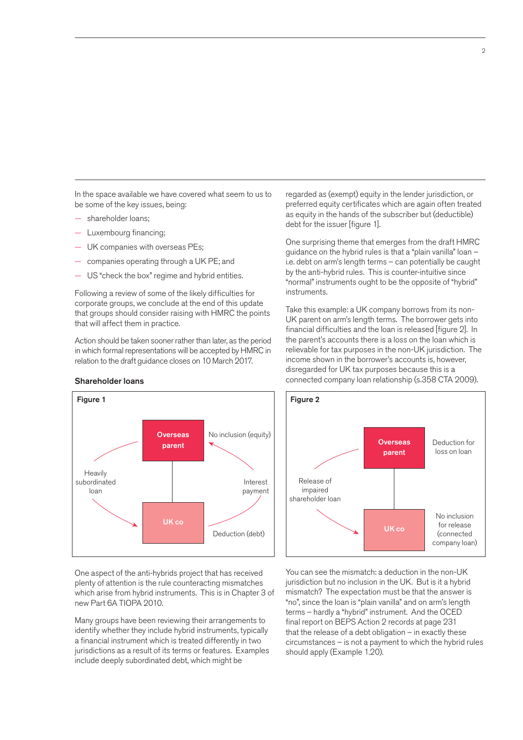In the space available we have covered what seem to us to be some of the key issues, being:

- shareholder loans;
- Luxembourg financing;
- UK companies with overseas PEs;
- companies operating through a UK PE; and
- US "check the box" regime and hybrid entities.

Following a review of some of the likely difficulties for corporate groups, we conclude at the end of this update that groups should consider raising with HMRC the points that will affect them in practice.

Action should be taken sooner rather than later, as the period in which formal representations will be accepted by HMRC in relation to the draft guidance closes on 10 March 2017.

> **Overseas** parent

regarded as (exempt) equity in the lender jurisdiction, or preferred equity certificates which are again often treated as equity in the hands of the subscriber but (deductible) debt for the issuer [figure 1].

One surprising theme that emerges from the draft HMRC guidance on the hybrid rules is that a "plain vanilla" loan – i.e. debt on arm's length terms – can potentially be caught by the anti-hybrid rules. This is counter-intuitive since "normal" instruments ought to be the opposite of "hybrid" instruments.

Take this example: a UK company borrows from its non-UK parent on arm's length terms. The borrower gets into financial difficulties and the loan is released [figure 2]. In the parent's accounts there is a loss on the loan which is relievable for tax purposes in the non-UK jurisdiction. The income shown in the borrower's accounts is, however, disregarded for UK tax purposes because this is a connected company loan relationship (s.358 CTA 2009).



You can see the mismatch: a deduction in the non-UK jurisdiction but no inclusion in the UK. But is it a hybrid mismatch? The expectation must be that the answer is "no", since the loan is "plain vanilla" and on arm's length terms – hardly a "hybrid" instrument. And the OCED final report on BEPS Action 2 records at page 231 that the release of a debt obligation – in exactly these circumstances – is not a payment to which the hybrid rules should apply (Example 1.20).

## Shareholder loans

Figure 1

**Heavily** subordinated loan

One aspect of the anti-hybrids project that has received plenty of attention is the rule counteracting mismatches which arise from hybrid instruments. This is in Chapter 3 of new Part 6A TIOPA 2010.

UK co

Interest payment

No inclusion (equity)

Deduction (debt)

Many groups have been reviewing their arrangements to identify whether they include hybrid instruments, typically a financial instrument which is treated differently in two jurisdictions as a result of its terms or features. Examples include deeply subordinated debt, which might be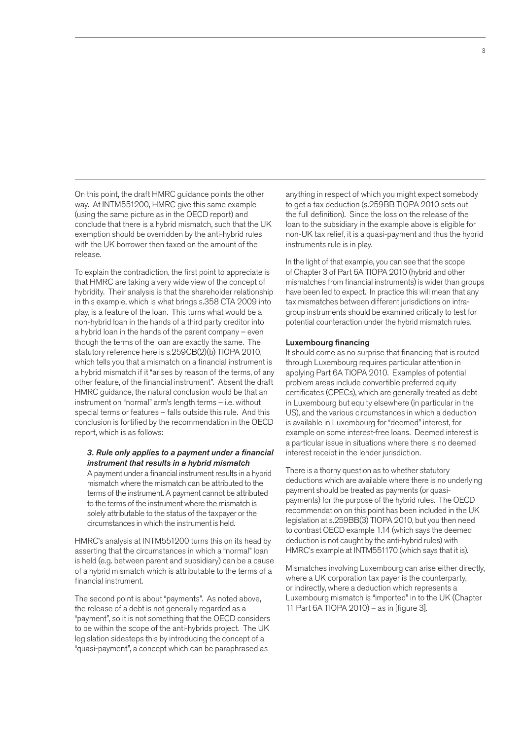On this point, the draft HMRC guidance points the other way. At INTM551200, HMRC give this same example (using the same picture as in the OECD report) and conclude that there is a hybrid mismatch, such that the UK exemption should be overridden by the anti-hybrid rules with the UK borrower then taxed on the amount of the release.

To explain the contradiction, the first point to appreciate is that HMRC are taking a very wide view of the concept of hybridity. Their analysis is that the shareholder relationship in this example, which is what brings s.358 CTA 2009 into play, is a feature of the loan. This turns what would be a non-hybrid loan in the hands of a third party creditor into a hybrid loan in the hands of the parent company – even though the terms of the loan are exactly the same. The statutory reference here is s.259CB(2)(b) TIOPA 2010, which tells you that a mismatch on a financial instrument is a hybrid mismatch if it "arises by reason of the terms, of any other feature, of the financial instrument". Absent the draft HMRC guidance, the natural conclusion would be that an instrument on "normal" arm's length terms – i.e. without special terms or features – falls outside this rule. And this conclusion is fortified by the recommendation in the OECD report, which is as follows:

# *3. Rule only applies to a payment under a financial instrument that results in a hybrid mismatch*

 A payment under a financial instrument results in a hybrid mismatch where the mismatch can be attributed to the terms of the instrument. A payment cannot be attributed to the terms of the instrument where the mismatch is solely attributable to the status of the taxpayer or the circumstances in which the instrument is held.

HMRC's analysis at INTM551200 turns this on its head by asserting that the circumstances in which a "normal" loan is held (e.g. between parent and subsidiary) can be a cause of a hybrid mismatch which is attributable to the terms of a financial instrument.

The second point is about "payments". As noted above, the release of a debt is not generally regarded as a "payment", so it is not something that the OECD considers to be within the scope of the anti-hybrids project. The UK legislation sidesteps this by introducing the concept of a "quasi-payment", a concept which can be paraphrased as

anything in respect of which you might expect somebody to get a tax deduction (s.259BB TIOPA 2010 sets out the full definition). Since the loss on the release of the loan to the subsidiary in the example above is eligible for non-UK tax relief, it is a quasi-payment and thus the hybrid instruments rule is in play.

In the light of that example, you can see that the scope of Chapter 3 of Part 6A TIOPA 2010 (hybrid and other mismatches from financial instruments) is wider than groups have been led to expect. In practice this will mean that any tax mismatches between different jurisdictions on intragroup instruments should be examined critically to test for potential counteraction under the hybrid mismatch rules.

#### Luxembourg financing

It should come as no surprise that financing that is routed through Luxembourg requires particular attention in applying Part 6A TIOPA 2010. Examples of potential problem areas include convertible preferred equity certificates (CPECs), which are generally treated as debt in Luxembourg but equity elsewhere (in particular in the US), and the various circumstances in which a deduction is available in Luxembourg for "deemed" interest, for example on some interest-free loans. Deemed interest is a particular issue in situations where there is no deemed interest receipt in the lender jurisdiction.

There is a thorny question as to whether statutory deductions which are available where there is no underlying payment should be treated as payments (or quasipayments) for the purpose of the hybrid rules. The OECD recommendation on this point has been included in the UK legislation at s.259BB(3) TIOPA 2010, but you then need to contrast OECD example 1.14 (which says the deemed deduction is not caught by the anti-hybrid rules) with HMRC's example at INTM551170 (which says that it is).

Mismatches involving Luxembourg can arise either directly, where a UK corporation tax payer is the counterparty, or indirectly, where a deduction which represents a Luxembourg mismatch is "imported" in to the UK (Chapter 11 Part 6A TIOPA 2010) – as in [figure 3].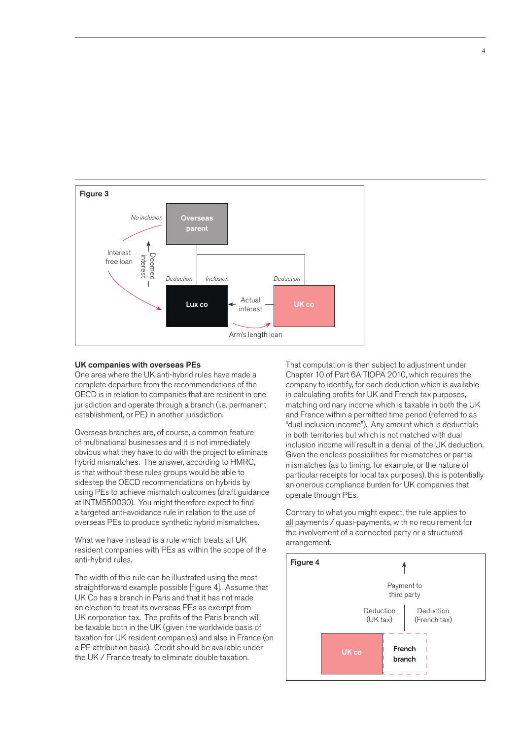

#### UK companies with overseas PEs

One area where the UK anti-hybrid rules have made a complete departure from the recommendations of the OECD is in relation to companies that are resident in one jurisdiction and operate through a branch (i.e. permanent establishment, or PE) in another jurisdiction.

Overseas branches are, of course, a common feature of multinational businesses and it is not immediately obvious what they have to do with the project to eliminate hybrid mismatches. The answer, according to HMRC, is that without these rules groups would be able to sidestep the OECD recommendations on hybrids by using PEs to achieve mismatch outcomes (draft guidance at INTM550030). You might therefore expect to find a targeted anti-avoidance rule in relation to the use of overseas PEs to produce synthetic hybrid mismatches.

What we have instead is a rule which treats all UK resident companies with PEs as within the scope of the anti-hybrid rules.

The width of this rule can be illustrated using the most straightforward example possible [figure 4]. Assume that UK Co has a branch in Paris and that it has not made an election to treat its overseas PEs as exempt from UK corporation tax. The profits of the Paris branch will be taxable both in the UK (given the worldwide basis of taxation for UK resident companies) and also in France (on a PE attribution basis). Credit should be available under the UK / France treaty to eliminate double taxation.

That computation is then subject to adjustment under Chapter 10 of Part 6A TIOPA 2010, which requires the company to identify, for each deduction which is available in calculating profits for UK and French tax purposes, matching ordinary income which is taxable in both the UK and France within a permitted time period (referred to as "dual inclusion income"). Any amount which is deductible in both territories but which is not matched with dual inclusion income will result in a denial of the UK deduction. Given the endless possibilities for mismatches or partial mismatches (as to timing, for example, or the nature of particular receipts for local tax purposes), this is potentially an onerous compliance burden for UK companies that operate through PEs.

Contrary to what you might expect, the rule applies to all payments / quasi-payments, with no requirement for the involvement of a connected party or a structured arrangement.

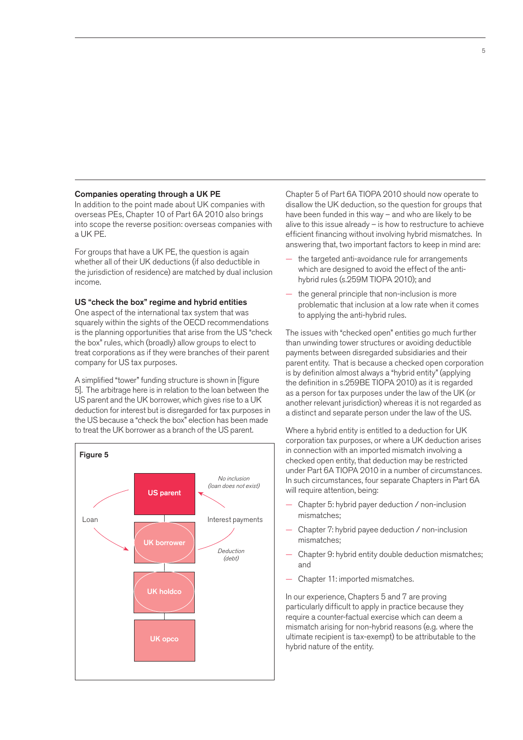#### Companies operating through a UK PE

In addition to the point made about UK companies with overseas PEs, Chapter 10 of Part 6A 2010 also brings into scope the reverse position: overseas companies with a UK PE.

For groups that have a UK PE, the question is again whether all of their UK deductions (if also deductible in the jurisdiction of residence) are matched by dual inclusion income.

## US "check the box" regime and hybrid entities

One aspect of the international tax system that was squarely within the sights of the OECD recommendations is the planning opportunities that arise from the US "check the box" rules, which (broadly) allow groups to elect to treat corporations as if they were branches of their parent company for US tax purposes.

A simplified "tower" funding structure is shown in [figure 5]. The arbitrage here is in relation to the loan between the US parent and the UK borrower, which gives rise to a UK deduction for interest but is disregarded for tax purposes in the US because a "check the box" election has been made to treat the UK borrower as a branch of the US parent.



Chapter 5 of Part 6A TIOPA 2010 should now operate to disallow the UK deduction, so the question for groups that have been funded in this way – and who are likely to be alive to this issue already – is how to restructure to achieve efficient financing without involving hybrid mismatches. In answering that, two important factors to keep in mind are:

- the targeted anti-avoidance rule for arrangements which are designed to avoid the effect of the antihybrid rules (s.259M TIOPA 2010); and
- the general principle that non-inclusion is more problematic that inclusion at a low rate when it comes to applying the anti-hybrid rules.

The issues with "checked open" entities go much further than unwinding tower structures or avoiding deductible payments between disregarded subsidiaries and their parent entity. That is because a checked open corporation is by definition almost always a "hybrid entity" (applying the definition in s.259BE TIOPA 2010) as it is regarded as a person for tax purposes under the law of the UK (or another relevant jurisdiction) whereas it is not regarded as a distinct and separate person under the law of the US.

Where a hybrid entity is entitled to a deduction for UK corporation tax purposes, or where a UK deduction arises in connection with an imported mismatch involving a checked open entity, that deduction may be restricted under Part 6A TIOPA 2010 in a number of circumstances. In such circumstances, four separate Chapters in Part 6A will require attention, being:

- Chapter 5: hybrid payer deduction / non-inclusion mismatches;
- Chapter 7: hybrid payee deduction / non-inclusion mismatches;
- Chapter 9: hybrid entity double deduction mismatches; and
- Chapter 11: imported mismatches.

In our experience, Chapters 5 and 7 are proving particularly difficult to apply in practice because they require a counter-factual exercise which can deem a mismatch arising for non-hybrid reasons (e.g. where the ultimate recipient is tax-exempt) to be attributable to the hybrid nature of the entity.